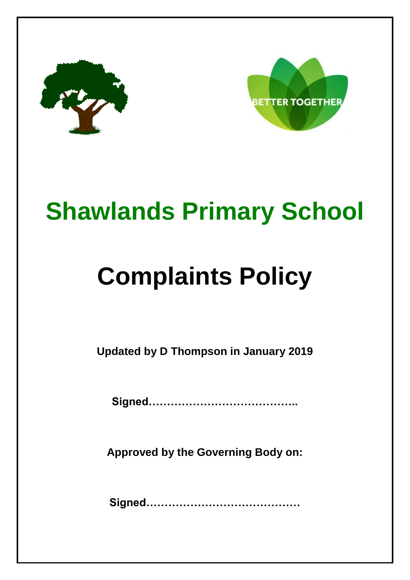



## **Shawlands Primary School**

# **Complaints Policy**

**Updated by D Thompson in January 2019**

**Signed…………………………………..**

**Approved by the Governing Body on:**

**Signed……………………………………**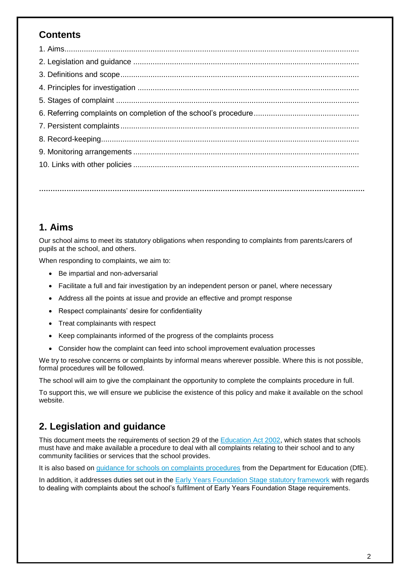## **Contents**

**…………………………………………………………………………………………………………………………….**

## **1. Aims**

Our school aims to meet its statutory obligations when responding to complaints from parents/carers of pupils at the school, and others.

When responding to complaints, we aim to:

- Be impartial and non-adversarial
- Facilitate a full and fair investigation by an independent person or panel, where necessary
- Address all the points at issue and provide an effective and prompt response
- Respect complainants' desire for confidentiality
- Treat complainants with respect
- Keep complainants informed of the progress of the complaints process
- Consider how the complaint can feed into school improvement evaluation processes

We try to resolve concerns or complaints by informal means wherever possible. Where this is not possible, formal procedures will be followed.

The school will aim to give the complainant the opportunity to complete the complaints procedure in full.

To support this, we will ensure we publicise the existence of this policy and make it available on the school website.

## **2. Legislation and guidance**

This document meets the requirements of section 29 of the **Education Act 2002**, which states that schools must have and make available a procedure to deal with all complaints relating to their school and to any community facilities or services that the school provides.

It is also based on [guidance for schools on complaints procedures](https://www.gov.uk/government/publications/school-complaints-procedures) from the Department for Education (DfE).

In addition, it addresses duties set out in the [Early Years Foundation Stage statutory framework](https://www.gov.uk/government/uploads/system/uploads/attachment_data/file/596629/EYFS_STATUTORY_FRAMEWORK_2017.pdf) with regards to dealing with complaints about the school's fulfilment of Early Years Foundation Stage requirements.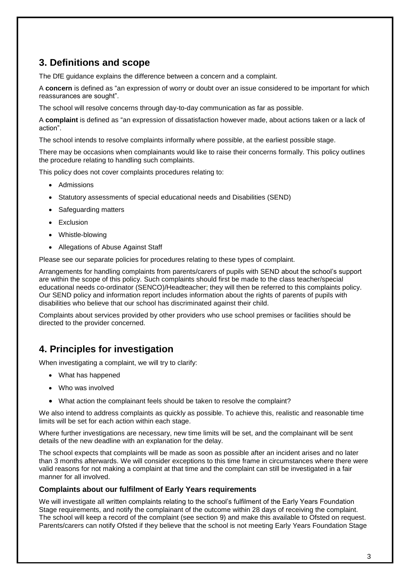## **3. Definitions and scope**

The DfE guidance explains the difference between a concern and a complaint.

A **concern** is defined as "an expression of worry or doubt over an issue considered to be important for which reassurances are sought".

The school will resolve concerns through day-to-day communication as far as possible.

A **complaint** is defined as "an expression of dissatisfaction however made, about actions taken or a lack of action".

The school intends to resolve complaints informally where possible, at the earliest possible stage.

There may be occasions when complainants would like to raise their concerns formally. This policy outlines the procedure relating to handling such complaints.

This policy does not cover complaints procedures relating to:

- Admissions
- Statutory assessments of special educational needs and Disabilities (SEND)
- Safeguarding matters
- Exclusion
- Whistle-blowing
- Allegations of Abuse Against Staff

Please see our separate policies for procedures relating to these types of complaint.

Arrangements for handling complaints from parents/carers of pupils with SEND about the school's support are within the scope of this policy. Such complaints should first be made to the class teacher/special educational needs co-ordinator (SENCO)/Headteacher; they will then be referred to this complaints policy. Our SEND policy and information report includes information about the rights of parents of pupils with disabilities who believe that our school has discriminated against their child.

Complaints about services provided by other providers who use school premises or facilities should be directed to the provider concerned.

## **4. Principles for investigation**

When investigating a complaint, we will try to clarify:

- What has happened
- Who was involved
- What action the complainant feels should be taken to resolve the complaint?

We also intend to address complaints as quickly as possible. To achieve this, realistic and reasonable time limits will be set for each action within each stage.

Where further investigations are necessary, new time limits will be set, and the complainant will be sent details of the new deadline with an explanation for the delay.

The school expects that complaints will be made as soon as possible after an incident arises and no later than 3 months afterwards. We will consider exceptions to this time frame in circumstances where there were valid reasons for not making a complaint at that time and the complaint can still be investigated in a fair manner for all involved.

#### **Complaints about our fulfilment of Early Years requirements**

We will investigate all written complaints relating to the school's fulfilment of the Early Years Foundation Stage requirements, and notify the complainant of the outcome within 28 days of receiving the complaint. The school will keep a record of the complaint (see section 9) and make this available to Ofsted on request. Parents/carers can notify Ofsted if they believe that the school is not meeting Early Years Foundation Stage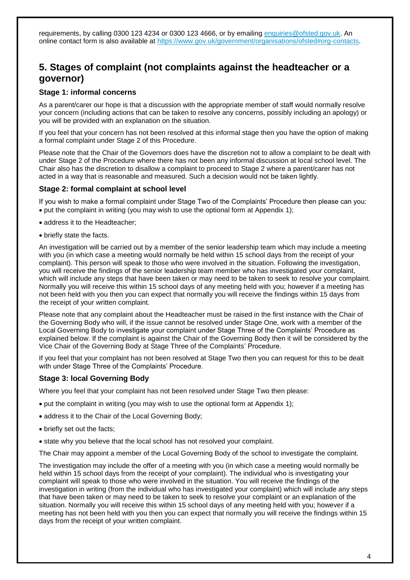requirements, by calling 0300 123 4234 or 0300 123 4666, or by emailing enquiries @ofsted.gov.uk. An online contact form is also available at [https://www.gov.uk/government/organisations/ofsted#org-contacts.](https://www.gov.uk/government/organisations/ofsted#org-contacts)

### **5. Stages of complaint (not complaints against the headteacher or a governor)**

#### **Stage 1: informal concerns**

As a parent/carer our hope is that a discussion with the appropriate member of staff would normally resolve your concern (including actions that can be taken to resolve any concerns, possibly including an apology) or you will be provided with an explanation on the situation.

If you feel that your concern has not been resolved at this informal stage then you have the option of making a formal complaint under Stage 2 of this Procedure.

Please note that the Chair of the Governors does have the discretion not to allow a complaint to be dealt with under Stage 2 of the Procedure where there has not been any informal discussion at local school level. The Chair also has the discretion to disallow a complaint to proceed to Stage 2 where a parent/carer has not acted in a way that is reasonable and measured. Such a decision would not be taken lightly.

#### **Stage 2: formal complaint at school level**

If you wish to make a formal complaint under Stage Two of the Complaints' Procedure then please can you: put the complaint in writing (you may wish to use the optional form at Appendix 1);

- address it to the Headteacher;
- briefly state the facts.

An investigation will be carried out by a member of the senior leadership team which may include a meeting with you (in which case a meeting would normally be held within 15 school days from the receipt of your complaint). This person will speak to those who were involved in the situation. Following the investigation, you will receive the findings of the senior leadership team member who has investigated your complaint, which will include any steps that have been taken or may need to be taken to seek to resolve your complaint. Normally you will receive this within 15 school days of any meeting held with you; however if a meeting has not been held with you then you can expect that normally you will receive the findings within 15 days from the receipt of your written complaint.

Please note that any complaint about the Headteacher must be raised in the first instance with the Chair of the Governing Body who will, if the issue cannot be resolved under Stage One, work with a member of the Local Governing Body to investigate your complaint under Stage Three of the Complaints' Procedure as explained below. If the complaint is against the Chair of the Governing Body then it will be considered by the Vice Chair of the Governing Body at Stage Three of the Complaints' Procedure.

If you feel that your complaint has not been resolved at Stage Two then you can request for this to be dealt with under Stage Three of the Complaints' Procedure.

#### **Stage 3: local Governing Body**

Where you feel that your complaint has not been resolved under Stage Two then please:

- put the complaint in writing (you may wish to use the optional form at Appendix 1);
- address it to the Chair of the Local Governing Body;
- briefly set out the facts;
- state why you believe that the local school has not resolved your complaint.

The Chair may appoint a member of the Local Governing Body of the school to investigate the complaint.

The investigation may include the offer of a meeting with you (in which case a meeting would normally be held within 15 school days from the receipt of your complaint). The individual who is investigating your complaint will speak to those who were involved in the situation. You will receive the findings of the investigation in writing (from the individual who has investigated your complaint) which will include any steps that have been taken or may need to be taken to seek to resolve your complaint or an explanation of the situation. Normally you will receive this within 15 school days of any meeting held with you; however if a meeting has not been held with you then you can expect that normally you will receive the findings within 15 days from the receipt of your written complaint.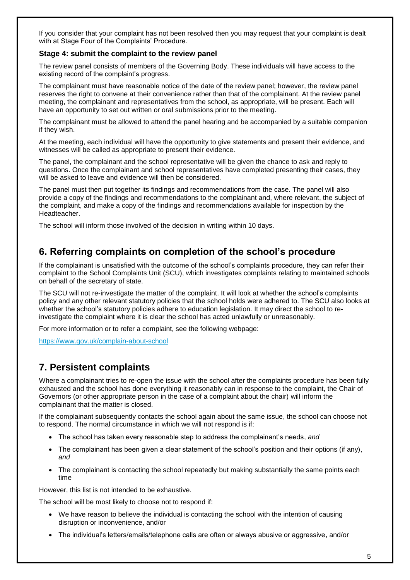If you consider that your complaint has not been resolved then you may request that your complaint is dealt with at Stage Four of the Complaints' Procedure.

#### **Stage 4: submit the complaint to the review panel**

The review panel consists of members of the Governing Body. These individuals will have access to the existing record of the complaint's progress.

The complainant must have reasonable notice of the date of the review panel; however, the review panel reserves the right to convene at their convenience rather than that of the complainant. At the review panel meeting, the complainant and representatives from the school, as appropriate, will be present. Each will have an opportunity to set out written or oral submissions prior to the meeting.

The complainant must be allowed to attend the panel hearing and be accompanied by a suitable companion if they wish.

At the meeting, each individual will have the opportunity to give statements and present their evidence, and witnesses will be called as appropriate to present their evidence.

The panel, the complainant and the school representative will be given the chance to ask and reply to questions. Once the complainant and school representatives have completed presenting their cases, they will be asked to leave and evidence will then be considered.

The panel must then put together its findings and recommendations from the case. The panel will also provide a copy of the findings and recommendations to the complainant and, where relevant, the subject of the complaint, and make a copy of the findings and recommendations available for inspection by the Headteacher.

The school will inform those involved of the decision in writing within 10 days.

## **6. Referring complaints on completion of the school's procedure**

If the complainant is unsatisfied with the outcome of the school's complaints procedure, they can refer their complaint to the School Complaints Unit (SCU), which investigates complaints relating to maintained schools on behalf of the secretary of state.

The SCU will not re-investigate the matter of the complaint. It will look at whether the school's complaints policy and any other relevant statutory policies that the school holds were adhered to. The SCU also looks at whether the school's statutory policies adhere to education legislation. It may direct the school to reinvestigate the complaint where it is clear the school has acted unlawfully or unreasonably.

For more information or to refer a complaint, see the following webpage:

<https://www.gov.uk/complain-about-school>

## **7. Persistent complaints**

Where a complainant tries to re-open the issue with the school after the complaints procedure has been fully exhausted and the school has done everything it reasonably can in response to the complaint, the Chair of Governors (or other appropriate person in the case of a complaint about the chair) will inform the complainant that the matter is closed.

If the complainant subsequently contacts the school again about the same issue, the school can choose not to respond. The normal circumstance in which we will not respond is if:

- The school has taken every reasonable step to address the complainant's needs, *and*
- The complainant has been given a clear statement of the school's position and their options (if any), *and*
- The complainant is contacting the school repeatedly but making substantially the same points each time

However, this list is not intended to be exhaustive.

The school will be most likely to choose not to respond if:

- We have reason to believe the individual is contacting the school with the intention of causing disruption or inconvenience, and/or
- The individual's letters/emails/telephone calls are often or always abusive or aggressive, and/or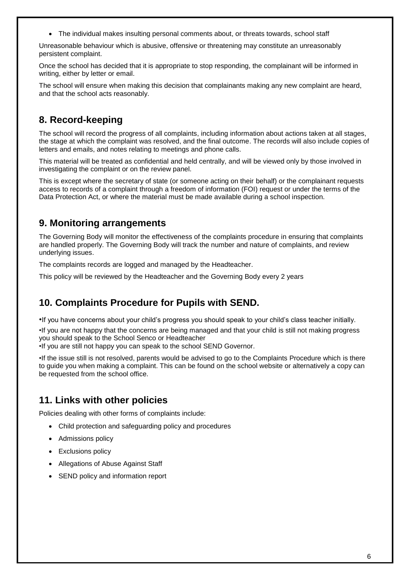The individual makes insulting personal comments about, or threats towards, school staff

Unreasonable behaviour which is abusive, offensive or threatening may constitute an unreasonably persistent complaint.

Once the school has decided that it is appropriate to stop responding, the complainant will be informed in writing, either by letter or email.

The school will ensure when making this decision that complainants making any new complaint are heard, and that the school acts reasonably.

## **8. Record-keeping**

The school will record the progress of all complaints, including information about actions taken at all stages, the stage at which the complaint was resolved, and the final outcome. The records will also include copies of letters and emails, and notes relating to meetings and phone calls.

This material will be treated as confidential and held centrally, and will be viewed only by those involved in investigating the complaint or on the review panel.

This is except where the secretary of state (or someone acting on their behalf) or the complainant requests access to records of a complaint through a freedom of information (FOI) request or under the terms of the Data Protection Act, or where the material must be made available during a school inspection.

## **9. Monitoring arrangements**

The Governing Body will monitor the effectiveness of the complaints procedure in ensuring that complaints are handled properly. The Governing Body will track the number and nature of complaints, and review underlying issues.

The complaints records are logged and managed by the Headteacher.

This policy will be reviewed by the Headteacher and the Governing Body every 2 years

## **10. Complaints Procedure for Pupils with SEND.**

•If you have concerns about your child's progress you should speak to your child's class teacher initially.

•If you are not happy that the concerns are being managed and that your child is still not making progress you should speak to the School Senco or Headteacher

•If you are still not happy you can speak to the school SEND Governor.

•If the issue still is not resolved, parents would be advised to go to the Complaints Procedure which is there to guide you when making a complaint. This can be found on the school website or alternatively a copy can be requested from the school office.

## **11. Links with other policies**

Policies dealing with other forms of complaints include:

- Child protection and safeguarding policy and procedures
- Admissions policy
- Exclusions policy
- Allegations of Abuse Against Staff
- SEND policy and information report